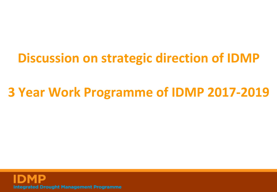## **Discussion on strategic direction of IDMP**

## **3 Year Work Programme of IDMP 2017-2019**

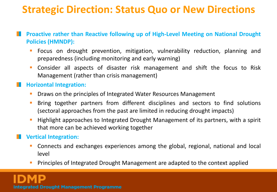### **Strategic Direction: Status Quo or New Directions**

- **Proactive rather than Reactive following up of High-Level Meeting on National Drought Policies (HMNDP):**
	- Focus on drought prevention, mitigation, vulnerability reduction, planning and preparedness (including monitoring and early warning)
	- Consider all aspects of disaster risk management and shift the focus to Risk Management (rather than crisis management)

#### **Horizontal Integration:**

- Draws on the principles of Integrated Water Resources Management
- Bring together partners from different disciplines and sectors to find solutions (sectoral approaches from the past are limited in reducing drought impacts)
- Highlight approaches to Integrated Drought Management of its partners, with a spirit that more can be achieved working together

### **Vertical Integration:**

- Connects and exchanges experiences among the global, regional, national and local level
- Principles of Integrated Drought Management are adapted to the context applied

**Integrated Drought Management Programme**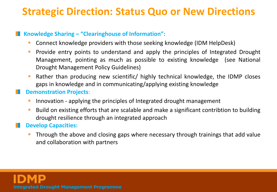### **Strategic Direction: Status Quo or New Directions**

#### **K** Knowledge Sharing – "Clearinghouse of Information":

- Connect knowledge providers with those seeking knowledge (IDM HelpDesk)
- **Provide entry points to understand and apply the principles of Integrated Drought** Management, pointing as much as possible to existing knowledge (see National Drought Management Policy Guidelines)
- Rather than producing new scientific/ highly technical knowledge, the IDMP closes gaps in knowledge and in communicating/applying existing knowledge

### **Demonstration Projects**:

- Innovation applying the principles of Integrated drought management
- Build on existing efforts that are scalable and make a significant contribtion to building drought resilience through an integrated approach

### **Develop Capacities:**

 Through the above and closing gaps where necessary through trainings that add value and collaboration with partners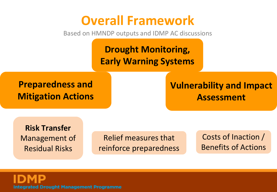## **Overall Framework**

Based on HMNDP outputs and IDMP AC discussions

**Drought Monitoring, Early Warning Systems**

**Preparedness and Mitigation Actions**

### **Vulnerability and Impact Assessment**

**Risk Transfer** Management of Residual Risks

Relief measures that reinforce preparedness

Costs of Inaction / Benefits of Actions

**Integrated Drought Management Programme**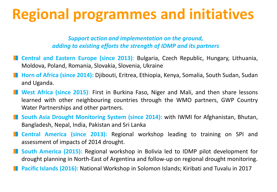## **Regional programmes and initiatives**

*Support action and implementation on the ground, adding to existing efforts the strength of IDMP and its partners*

- **Central and Eastern Europe (since 2013)**: Bulgaria, Czech Republic, Hungary, Lithuania, Moldova, Poland, Romania, Slovakia, Slovenia, Ukraine
- **Horn of Africa (since 2014):** Djibouti, Eritrea, Ethiopia, Kenya, Somalia, South Sudan, Sudan and Uganda.
- **West Africa (since 2015)**: First in Burkina Faso, Niger and Mali, and then share lessons learned with other neighbouring countries through the WMO partners, GWP Country Water Partnerships and other partners.
- **South Asia Drought Monitoring System (since 2014):** with IWMI for Afghanistan, Bhutan, Bangladesh, Nepal, India, Pakistan and Sri Lanka
- **Central America (since 2013):** Regional workshop leading to training on SPI and assessment of impacts of 2014 drought.
- **South America (2015):** Regional workshop in Bolivia led to IDMP pilot development for drought planning in North-East of Argentina and follow-up on regional drought monitoring.
- **Pacific Islands (2016):** National Workshop in Solomon Islands; Kiribati and Tuvalu in 2017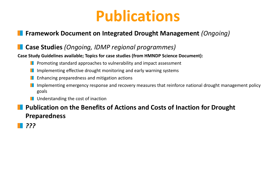## **Publications**

### **Framework Document on Integrated Drought Management** *(Ongoing)*

### **Case Studies** *(Ongoing, IDMP regional programmes)*

#### **Case Study Guidelines available; Topics for case studies (from HMNDP Science Document):**

- **Promoting standard approaches to vulnerability and impact assessment**
- **I** Implementing effective drought monitoring and early warning systems
- **E** Enhancing preparedness and mitigation actions
- In Implementing emergency response and recovery measures that reinforce national drought management policy goals
- **Understanding the cost of inaction**

### **Publication on the Benefits of Actions and Costs of Inaction for Drought Preparedness**

*???*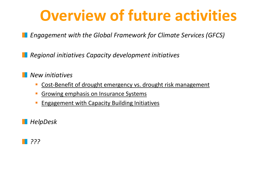## **Overview of future activities**

*Engagement with the Global Framework for Climate Services (GFCS)*

*Regional initiatives Capacity development initiatives* 

*New initiatives* 

- **Cost-Benefit of drought emergency vs. drought risk management**
- **Growing emphasis on Insurance Systems**
- Engagement with Capacity Building Initiatives

*HelpDesk*

### *???*